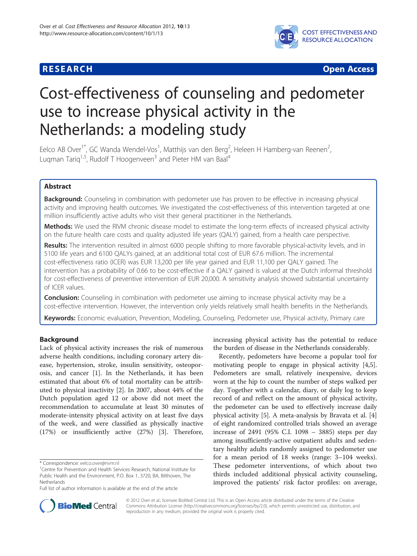

**RESEARCH CHEAR CHEAR CHEAR CHEAR CHEAR CHEAR CHEAR CHEAR CHEAR CHEAR CHEAR CHEAR CHEAR CHEAR CHEAR CHEAR CHEAR** 

# Cost-effectiveness of counseling and pedometer use to increase physical activity in the Netherlands: a modeling study

Eelco AB Over<sup>1\*</sup>, GC Wanda Wendel-Vos<sup>1</sup>, Matthijs van den Berg<sup>2</sup>, Heleen H Hamberg-van Reenen<sup>2</sup> .<br>, Lugman Tarig<sup>1,5</sup>, Rudolf T Hoogenveen<sup>3</sup> and Pieter HM van Baal<sup>4</sup>

# Abstract

**Background:** Counseling in combination with pedometer use has proven to be effective in increasing physical activity and improving health outcomes. We investigated the cost-effectiveness of this intervention targeted at one million insufficiently active adults who visit their general practitioner in the Netherlands.

Methods: We used the RIVM chronic disease model to estimate the long-term effects of increased physical activity on the future health care costs and quality adjusted life years (QALY) gained, from a health care perspective.

Results: The intervention resulted in almost 6000 people shifting to more favorable physical-activity levels, and in 5100 life years and 6100 QALYs gained, at an additional total cost of EUR 67.6 million. The incremental cost-effectiveness ratio (ICER) was EUR 13,200 per life year gained and EUR 11,100 per QALY gained. The intervention has a probability of 0.66 to be cost-effective if a QALY gained is valued at the Dutch informal threshold for cost-effectiveness of preventive intervention of EUR 20,000. A sensitivity analysis showed substantial uncertainty of ICER values.

**Conclusion:** Counseling in combination with pedometer use aiming to increase physical activity may be a cost-effective intervention. However, the intervention only yields relatively small health benefits in the Netherlands.

Keywords: Economic evaluation, Prevention, Modeling, Counseling, Pedometer use, Physical activity, Primary care

# Background

Lack of physical activity increases the risk of numerous adverse health conditions, including coronary artery disease, hypertension, stroke, insulin sensitivity, osteoporosis, and cancer [\[1](#page-5-0)]. In the Netherlands, it has been estimated that about 6% of total mortality can be attributed to physical inactivity [\[2](#page-5-0)]. In 2007, about 44% of the Dutch population aged 12 or above did not meet the recommendation to accumulate at least 30 minutes of moderate-intensity physical activity on at least five days of the week, and were classified as physically inactive (17%) or insufficiently active (27%) [[3\]](#page-5-0). Therefore,

increasing physical activity has the potential to reduce the burden of disease in the Netherlands considerably.

Recently, pedometers have become a popular tool for motivating people to engage in physical activity [\[4,5](#page-5-0)]. Pedometers are small, relatively inexpensive, devices worn at the hip to count the number of steps walked per day. Together with a calendar, diary, or daily log to keep record of and reflect on the amount of physical activity, the pedometer can be used to effectively increase daily physical activity [\[5\]](#page-5-0). A meta-analysis by Bravata et al. [\[4](#page-5-0)] of eight randomized controlled trials showed an average increase of 2491 (95% C.I. 1098 – 3885) steps per day among insufficiently-active outpatient adults and sedentary healthy adults randomly assigned to pedometer use for a mean period of 18 weeks (range: 3–104 weeks). These pedometer interventions, of which about two thirds included additional physical activity counseling, improved the patients' risk factor profiles: on average,



© 2012 Over et al.; licensee BioMed Central Ltd. This is an Open Access article distributed under the terms of the Creative Commons Attribution License [\(http://creativecommons.org/licenses/by/2.0\)](http://creativecommons.org/licenses/by/2.0), which permits unrestricted use, distribution, and reproduction in any medium, provided the original work is properly cited.

<sup>\*</sup> Correspondence: [eelco.over@rivm.nl](mailto:eelco.over@rivm.nl) <sup>1</sup>

<sup>&</sup>lt;sup>1</sup> Centre for Prevention and Health Services Research, National Institute for Public Health and the Environment, P.O. Box 1, 3720, BA, Bilthoven, The Netherlands

Full list of author information is available at the end of the article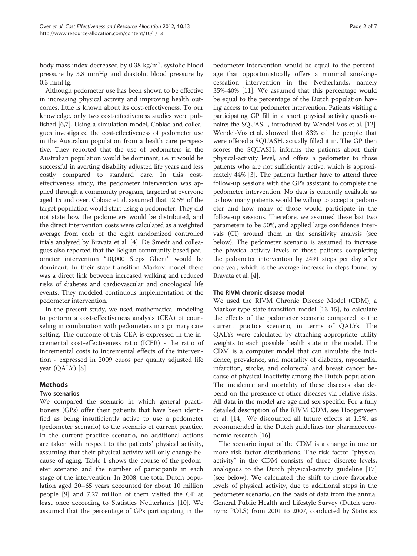body mass index decreased by 0.38 kg/m<sup>2</sup>, systolic blood pressure by 3.8 mmHg and diastolic blood pressure by 0.3 mmHg.

Although pedometer use has been shown to be effective in increasing physical activity and improving health outcomes, little is known about its cost-effectiveness. To our knowledge, only two cost-effectiveness studies were published [\[6,7\]](#page-5-0). Using a simulation model, Cobiac and colleagues investigated the cost-effectiveness of pedometer use in the Australian population from a health care perspective. They reported that the use of pedometers in the Australian population would be dominant, i.e. it would be successful in averting disability adjusted life years and less costly compared to standard care. In this costeffectiveness study, the pedometer intervention was applied through a community program, targeted at everyone aged 15 and over. Cobiac et al. assumed that 12.5% of the target population would start using a pedometer. They did not state how the pedometers would be distributed, and the direct intervention costs were calculated as a weighted average from each of the eight randomized controlled trials analyzed by Bravata et al. [\[4\]](#page-5-0). De Smedt and colleagues also reported that the Belgian community-based pedometer intervention "10,000 Steps Ghent" would be dominant. In their state-transition Markov model there was a direct link between increased walking and reduced risks of diabetes and cardiovascular and oncological life events. They modeled continuous implementation of the pedometer intervention.

In the present study, we used mathematical modeling to perform a cost-effectiveness analysis (CEA) of counseling in combination with pedometers in a primary care setting. The outcome of this CEA is expressed in the incremental cost-effectiveness ratio (ICER) - the ratio of incremental costs to incremental effects of the intervention - expressed in 2009 euros per quality adjusted life year (QALY) [[8\]](#page-5-0).

# Methods

## Two scenarios

We compared the scenario in which general practitioners (GPs) offer their patients that have been identified as being insufficiently active to use a pedometer (pedometer scenario) to the scenario of current practice. In the current practice scenario, no additional actions are taken with respect to the patients' physical activity, assuming that their physical activity will only change because of aging. Table [1](#page-2-0) shows the course of the pedometer scenario and the number of participants in each stage of the intervention. In 2008, the total Dutch population aged 20–65 years accounted for about 10 million people [\[9](#page-5-0)] and 7.27 million of them visited the GP at least once according to Statistics Netherlands [[10\]](#page-5-0). We assumed that the percentage of GPs participating in the

pedometer intervention would be equal to the percentage that opportunistically offers a minimal smokingcessation intervention in the Netherlands, namely 35%-40% [[11\]](#page-5-0). We assumed that this percentage would be equal to the percentage of the Dutch population having access to the pedometer intervention. Patients visiting a participating GP fill in a short physical activity questionnaire: the SQUASH, introduced by Wendel-Vos et al. [\[12](#page-5-0)]. Wendel-Vos et al. showed that 83% of the people that were offered a SQUASH, actually filled it in. The GP then scores the SQUASH, informs the patients about their physical-activity level, and offers a pedometer to those patients who are not sufficiently active, which is approximately 44% [[3](#page-5-0)]. The patients further have to attend three follow-up sessions with the GP's assistant to complete the pedometer intervention. No data is currently available as to how many patients would be willing to accept a pedometer and how many of those would participate in the follow-up sessions. Therefore, we assumed these last two parameters to be 50%, and applied large confidence intervals (CI) around them in the sensitivity analysis (see below). The pedometer scenario is assumed to increase the physical-activity levels of those patients completing the pedometer intervention by 2491 steps per day after one year, which is the average increase in steps found by Bravata et al. [\[4](#page-5-0)].

## The RIVM chronic disease model

We used the RIVM Chronic Disease Model (CDM), a Markov-type state-transition model [[13-15\]](#page-5-0), to calculate the effects of the pedometer scenario compared to the current practice scenario, in terms of QALYs. The QALYs were calculated by attaching appropriate utility weights to each possible health state in the model. The CDM is a computer model that can simulate the incidence, prevalence, and mortality of diabetes, myocardial infarction, stroke, and colorectal and breast cancer because of physical inactivity among the Dutch population. The incidence and mortality of these diseases also depend on the presence of other diseases via relative risks. All data in the model are age and sex specific. For a fully detailed description of the RIVM CDM, see Hoogenveen et al. [\[14\]](#page-5-0). We discounted all future effects at 1.5%, as recommended in the Dutch guidelines for pharmacoeconomic research [\[16](#page-5-0)].

The scenario input of the CDM is a change in one or more risk factor distributions. The risk factor "physical activity" in the CDM consists of three discrete levels, analogous to the Dutch physical-activity guideline [[17](#page-5-0)] (see below). We calculated the shift to more favorable levels of physical activity, due to additional steps in the pedometer scenario, on the basis of data from the annual General Public Health and Lifestyle Survey (Dutch acronym: POLS) from 2001 to 2007, conducted by Statistics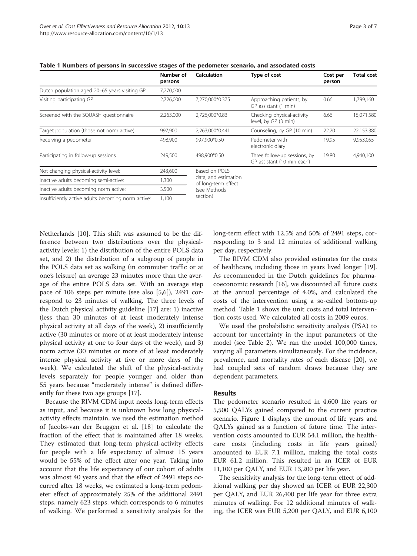| ≏<br>Рап |  | 11 |  |  |
|----------|--|----|--|--|
|----------|--|----|--|--|

<span id="page-2-0"></span>

|  | Table 1 Numbers of persons in successive stages of the pedometer scenario, and associated costs |  |
|--|-------------------------------------------------------------------------------------------------|--|
|--|-------------------------------------------------------------------------------------------------|--|

|                                                    | Number of<br>persons | <b>Calculation</b>                          | Type of cost                                               | Cost per<br>person | <b>Total cost</b> |
|----------------------------------------------------|----------------------|---------------------------------------------|------------------------------------------------------------|--------------------|-------------------|
| Dutch population aged 20-65 years visiting GP      | 7,270,000            |                                             |                                                            |                    |                   |
| Visiting participating GP                          | 2,726,000            | 7,270,000*0.375                             | Approaching patients, by<br>GP assistant (1 min)           | 0.66               | 1,799,160         |
| Screened with the SQUASH questionnaire             | 2,263,000            | 2,726,000*0.83                              | Checking physical-activity<br>level, by GP (3 min)         | 6.66               | 15,071,580        |
| Target population (those not norm active)          | 997,900              | 2,263,000*0.441                             | Counseling, by GP (10 min)                                 | 22.20              | 22,153,380        |
| Receiving a pedometer                              | 498,900              | 997,900*0.50                                | Pedometer with<br>electronic diary                         | 19.95              | 9,953,055         |
| Participating in follow-up sessions                | 249,500              | 498.900*0.50                                | Three follow-up sessions, by<br>GP assistant (10 min each) | 19.80              | 4,940,100         |
| Not changing physical-activity level:              | 243,600              | Based on POLS                               |                                                            |                    |                   |
| Inactive adults becoming semi-active:              | 1,300                | data, and estimation<br>of long-term effect |                                                            |                    |                   |
| Inactive adults becoming norm active:              | 3,500                | (see Methods                                |                                                            |                    |                   |
| Insufficiently active adults becoming norm active: | 1.100                | section)                                    |                                                            |                    |                   |

Netherlands [\[10](#page-5-0)]. This shift was assumed to be the difference between two distributions over the physicalactivity levels: 1) the distribution of the entire POLS data set, and 2) the distribution of a subgroup of people in the POLS data set as walking (in commuter traffic or at one's leisure) an average 23 minutes more than the average of the entire POLS data set. With an average step pace of 106 steps per minute (see also [\[5,6](#page-5-0)]), 2491 correspond to 23 minutes of walking. The three levels of the Dutch physical activity guideline [[17](#page-5-0)] are: 1) inactive (less than 30 minutes of at least moderately intense physical activity at all days of the week), 2) insufficiently active (30 minutes or more of at least moderately intense physical activity at one to four days of the week), and 3) norm active (30 minutes or more of at least moderately intense physical activity at five or more days of the week). We calculated the shift of the physical-activity levels separately for people younger and older than 55 years because "moderately intense" is defined differently for these two age groups [[17](#page-5-0)].

Because the RIVM CDM input needs long-term effects as input, and because it is unknown how long physicalactivity effects maintain, we used the estimation method of Jacobs-van der Bruggen et al. [[18\]](#page-5-0) to calculate the fraction of the effect that is maintained after 18 weeks. They estimated that long-term physical-activity effects for people with a life expectancy of almost 15 years would be 55% of the effect after one year. Taking into account that the life expectancy of our cohort of adults was almost 40 years and that the effect of 2491 steps occurred after 18 weeks, we estimated a long-term pedometer effect of approximately 25% of the additional 2491 steps, namely 623 steps, which corresponds to 6 minutes of walking. We performed a sensitivity analysis for the long-term effect with 12.5% and 50% of 2491 steps, corresponding to 3 and 12 minutes of additional walking per day, respectively.

The RIVM CDM also provided estimates for the costs of healthcare, including those in years lived longer [\[19](#page-6-0)]. As recommended in the Dutch guidelines for pharmacoeconomic research [\[16](#page-5-0)], we discounted all future costs at the annual percentage of 4.0%, and calculated the costs of the intervention using a so-called bottom-up method. Table 1 shows the unit costs and total intervention costs used. We calculated all costs in 2009 euros.

We used the probabilistic sensitivity analysis (PSA) to account for uncertainty in the input parameters of the model (see Table [2](#page-3-0)). We ran the model 100,000 times, varying all parameters simultaneously. For the incidence, prevalence, and mortality rates of each disease [\[20\]](#page-6-0), we had coupled sets of random draws because they are dependent parameters.

# Results

The pedometer scenario resulted in 4,600 life years or 5,500 QALYs gained compared to the current practice scenario. Figure [1](#page-3-0) displays the amount of life years and QALYs gained as a function of future time. The intervention costs amounted to EUR 54.1 million, the healthcare costs (including costs in life years gained) amounted to EUR 7.1 million, making the total costs EUR 61.2 million. This resulted in an ICER of EUR 11,100 per QALY, and EUR 13,200 per life year.

The sensitivity analysis for the long-term effect of additional walking per day showed an ICER of EUR 22,300 per QALY, and EUR 26,400 per life year for three extra minutes of walking. For 12 additional minutes of walking, the ICER was EUR 5,200 per QALY, and EUR 6,100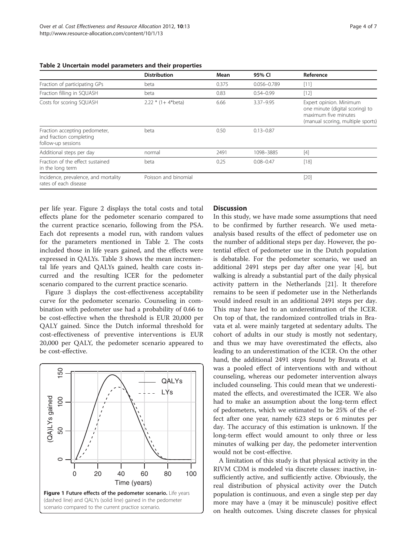|                                                                                | <b>Distribution</b>    | Mean  | 95% CI          | Reference                                                                                                               |
|--------------------------------------------------------------------------------|------------------------|-------|-----------------|-------------------------------------------------------------------------------------------------------------------------|
| Fraction of participating GPs                                                  | beta                   | 0.375 | $0.056 - 0.789$ | $[11]$                                                                                                                  |
| Fraction filling in SQUASH                                                     | beta                   | 0.83  | $0.54 - 0.99$   | $[12]$                                                                                                                  |
| Costs for scoring SQUASH                                                       | $2.22 * (1 + 4*)$ eta) | 6.66  | $3.37 - 9.95$   | Expert opinion. Minimum<br>one minute (digital scoring) to<br>maximum five minutes<br>(manual scoring, multiple sports) |
| Fraction accepting pedometer,<br>and fraction completing<br>follow-up sessions | beta                   | 0.50  | $0.13 - 0.87$   |                                                                                                                         |
| Additional steps per day                                                       | normal                 | 2491  | 1098-3885       | $[4]$                                                                                                                   |
| Fraction of the effect sustained<br>in the long term                           | beta                   | 0.25  | $0.08 - 0.47$   | $[18]$                                                                                                                  |
| Incidence, prevalence, and mortality<br>rates of each disease                  | Poisson and binomial   |       |                 | $[20]$                                                                                                                  |

<span id="page-3-0"></span>Table 2 Uncertain model parameters and their properties

per life year. Figure [2](#page-4-0) displays the total costs and total effects plane for the pedometer scenario compared to the current practice scenario, following from the PSA. Each dot represents a model run, with random values for the parameters mentioned in Table 2. The costs included those in life years gained, and the effects were expressed in QALYs. Table [3](#page-4-0) shows the mean incremental life years and QALYs gained, health care costs incurred and the resulting ICER for the pedometer scenario compared to the current practice scenario.

Figure [3](#page-5-0) displays the cost-effectiveness acceptability curve for the pedometer scenario. Counseling in combination with pedometer use had a probability of 0.66 to be cost-effective when the threshold is EUR 20,000 per QALY gained. Since the Dutch informal threshold for cost-effectiveness of preventive interventions is EUR 20,000 per QALY, the pedometer scenario appeared to be cost-effective.



# **Discussion**

In this study, we have made some assumptions that need to be confirmed by further research. We used metaanalysis based results of the effect of pedometer use on the number of additional steps per day. However, the potential effect of pedometer use in the Dutch population is debatable. For the pedometer scenario, we used an additional 2491 steps per day after one year [\[4](#page-5-0)], but walking is already a substantial part of the daily physical activity pattern in the Netherlands [[21\]](#page-6-0). It therefore remains to be seen if pedometer use in the Netherlands would indeed result in an additional 2491 steps per day. This may have led to an underestimation of the ICER. On top of that, the randomized controlled trials in Bravata et al. were mainly targeted at sedentary adults. The cohort of adults in our study is mostly not sedentary, and thus we may have overestimated the effects, also leading to an underestimation of the ICER. On the other hand, the additional 2491 steps found by Bravata et al. was a pooled effect of interventions with and without counseling, whereas our pedometer intervention always included counseling. This could mean that we underestimated the effects, and overestimated the ICER. We also had to make an assumption about the long-term effect of pedometers, which we estimated to be 25% of the effect after one year, namely 623 steps or 6 minutes per day. The accuracy of this estimation is unknown. If the long-term effect would amount to only three or less minutes of walking per day, the pedometer intervention would not be cost-effective.

A limitation of this study is that physical activity in the RIVM CDM is modeled via discrete classes: inactive, insufficiently active, and sufficiently active. Obviously, the real distribution of physical activity over the Dutch population is continuous, and even a single step per day more may have a (may it be minuscule) positive effect on health outcomes. Using discrete classes for physical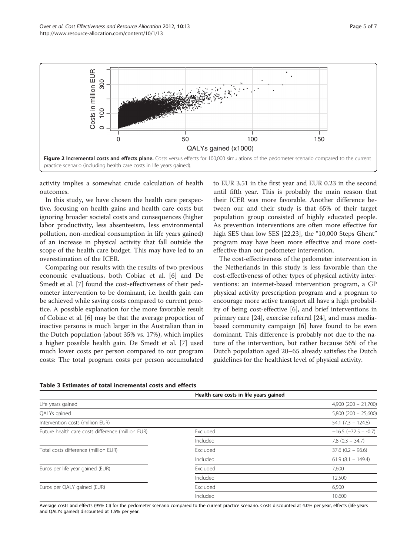

<span id="page-4-0"></span>

activity implies a somewhat crude calculation of health outcomes.

In this study, we have chosen the health care perspective, focusing on health gains and health care costs but ignoring broader societal costs and consequences (higher labor productivity, less absenteeism, less environmental pollution, non-medical consumption in life years gained) of an increase in physical activity that fall outside the scope of the health care budget. This may have led to an overestimation of the ICER.

Comparing our results with the results of two previous economic evaluations, both Cobiac et al. [[6\]](#page-5-0) and De Smedt et al. [\[7](#page-5-0)] found the cost-effectiveness of their pedometer intervention to be dominant, i.e. health gain can be achieved while saving costs compared to current practice. A possible explanation for the more favorable result of Cobiac et al. [\[6](#page-5-0)] may be that the average proportion of inactive persons is much larger in the Australian than in the Dutch population (about 35% vs. 17%), which implies a higher possible health gain. De Smedt et al. [[7](#page-5-0)] used much lower costs per person compared to our program costs: The total program costs per person accumulated

to EUR 3.51 in the first year and EUR 0.23 in the second until fifth year. This is probably the main reason that their ICER was more favorable. Another difference between our and their study is that 65% of their target population group consisted of highly educated people. As prevention interventions are often more effective for high SES than low SES [\[22,23](#page-6-0)], the "10,000 Steps Ghent" program may have been more effective and more costeffective than our pedometer intervention.

The cost-effectiveness of the pedometer intervention in the Netherlands in this study is less favorable than the cost-effectiveness of other types of physical activity interventions: an internet-based intervention program, a GP physical activity prescription program and a program to encourage more active transport all have a high probability of being cost-effective [\[6](#page-5-0)], and brief interventions in primary care [[24](#page-6-0)], exercise referral [\[24](#page-6-0)], and mass mediabased community campaign [[6\]](#page-5-0) have found to be even dominant. This difference is probably not due to the nature of the intervention, but rather because 56% of the Dutch population aged 20–65 already satisfies the Dutch guidelines for the healthiest level of physical activity.

|                                                   | Health care costs in life years gained |                            |
|---------------------------------------------------|----------------------------------------|----------------------------|
| Life years gained                                 |                                        | $4,900(200 - 21,700)$      |
| QALYs gained                                      |                                        | $5,800(200 - 25,600)$      |
| Intervention costs (million EUR)                  |                                        | $54.1 (7.3 - 124.8)$       |
| Future health care costs difference (million EUR) | Excluded                               | $-16.5$ ( $-72.5 - -0.7$ ) |
|                                                   | Included                               | $7.8$ (0.3 - 34.7)         |
| Total costs difference (million EUR)              | Excluded                               | $37.6$ (0.2 - 96.6)        |
|                                                   | Included                               | $61.9(8.1 - 149.4)$        |
| Euros per life year gained (EUR)                  | Excluded                               | 7.600                      |
|                                                   | Included                               | 12,500                     |
| Euros per QALY gained (EUR)                       | Excluded                               | 6,500                      |
|                                                   | Included                               | 10,600                     |

#### Table 3 Estimates of total incremental costs and effects

Average costs and effects (95% CI) for the pedometer scenario compared to the current practice scenario. Costs discounted at 4.0% per year, effects (life years and QALYs gained) discounted at 1.5% per year.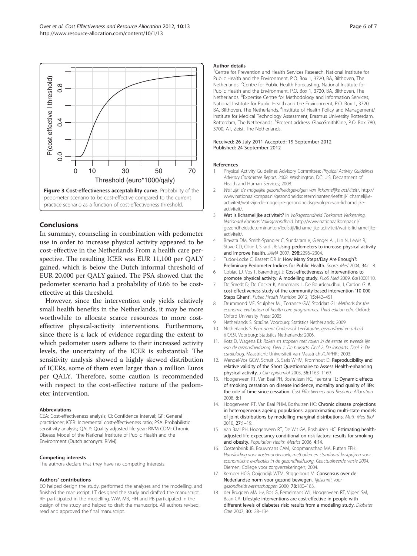<span id="page-5-0"></span>

# Conclusions

In summary, counseling in combination with pedometer use in order to increase physical activity appeared to be cost-effective in the Netherlands From a health care perspective. The resulting ICER was EUR 11,100 per QALY gained, which is below the Dutch informal threshold of EUR 20,000 per QALY gained. The PSA showed that the pedometer scenario had a probability of 0.66 to be costeffective at this threshold.

However, since the intervention only yields relatively small health benefits in the Netherlands, it may be more worthwhile to allocate scarce resources to more costeffective physical-activity interventions. Furthermore, since there is a lack of evidence regarding the extent to which pedometer users adhere to their increased activity levels, the uncertainty of the ICER is substantial: The sensitivity analysis showed a highly skewed distribution of ICERs, some of them even larger than a million Euros per QALY. Therefore, some caution is recommended with respect to the cost-effective nature of the pedometer intervention.

#### Abbreviations

CEA: Cost-effectiveness analysis; CI: Confidence interval; GP: General practitioner; ICER: Incremental cost-effectiveness ratio; PSA: Probabilistic sensitivity analysis; QALY: Quality adjusted life year; RIVM CDM: Chronic Disease Model of the National Institute of Public Health and the Environment (Dutch acronym: RIVM).

#### Competing interests

The authors declare that they have no competing interests.

#### Authors' contributions

EO helped design the study, performed the analyses and the modelling, and finished the manuscript. LT designed the study and drafted the manuscript. RH participated in the modelling. WW, MB, HH and PB participated in the design of the study and helped to draft the manuscript. All authors revised, read and approved the final manuscript.

#### Author details

<sup>1</sup> Centre for Prevention and Health Services Research, National Institute for Public Health and the Environment, P.O. Box 1, 3720, BA, Bilthoven, The Netherlands. <sup>2</sup> Centre for Public Health Forecasting, National Institute for Public Health and the Environment, P.O. Box 1, 3720, BA, Bilthoven, The Netherlands. <sup>3</sup> Expertise Centre for Methodology and Information Services National Institute for Public Health and the Environment, P.O. Box 1, 3720, BA, Bilthoven, The Netherlands. <sup>4</sup>Institute of Health Policy and Management/ Institute for Medical Technology Assessment, Erasmus University Rotterdam, Rotterdam, The Netherlands. <sup>5</sup>Present address: GlaxoSmithKline, P.O. Box 780, 3700, AT, Zeist, The Netherlands.

#### Received: 26 July 2011 Accepted: 19 September 2012 Published: 24 September 2012

#### References

- 1. Physical Activity Guidelines Advisory Committee: Physical Activity Guidelines Advisory Committee Report, 2008. Washington, DC: U.S. Department of Health and Human Services; 2008.
- 2. Wat zijn de mogelijke gezondheidsgevolgen van lichamelijke activiteit?. [http://](http://www.nationaalkompas.nl/gezondheidsdeterminanten/leefstijl/lichamelijke-activiteit/wat-zijn-de-mogelijke-gezondheidsgevolgen-van-lichamelijke-activiteit/) [www.nationaalkompas.nl/gezondheidsdeterminanten/leefstijl/lichamelijke](http://www.nationaalkompas.nl/gezondheidsdeterminanten/leefstijl/lichamelijke-activiteit/wat-zijn-de-mogelijke-gezondheidsgevolgen-van-lichamelijke-activiteit/)[activiteit/wat-zijn-de-mogelijke-gezondheidsgevolgen-van-lichamelijke](http://www.nationaalkompas.nl/gezondheidsdeterminanten/leefstijl/lichamelijke-activiteit/wat-zijn-de-mogelijke-gezondheidsgevolgen-van-lichamelijke-activiteit/)[activiteit/.](http://www.nationaalkompas.nl/gezondheidsdeterminanten/leefstijl/lichamelijke-activiteit/wat-zijn-de-mogelijke-gezondheidsgevolgen-van-lichamelijke-activiteit/)
- 3. Wat is lichamelijke activiteit? In Volksgezondheid Toekomst Verkenning, Nationaal Kompas Volksgezondheid. [http://www.nationaalkompas.nl/](http://www.nationaalkompas.nl/gezondheidsdeterminanten/leefstijl/lichamelijke-activiteit/wat-is-lichamelijke-activiteit/) [gezondheidsdeterminanten/leefstijl/lichamelijke-activiteit/wat-is-lichamelijke](http://www.nationaalkompas.nl/gezondheidsdeterminanten/leefstijl/lichamelijke-activiteit/wat-is-lichamelijke-activiteit/)[activiteit/.](http://www.nationaalkompas.nl/gezondheidsdeterminanten/leefstijl/lichamelijke-activiteit/wat-is-lichamelijke-activiteit/)
- 4. Bravata DM, Smith-Spangler C, Sundaram V, Gienger AL, Lin N, Lewis R, Stave CD, Olkin I, Sirard JR: Using pedometers to increase physical activity and improve health. JAMA 2007, 298:2296–2304.
- 5. Tudor-Locke C, Bassett DR Jr: How Many Steps/Day Are Enough?: Preliminary Pedometer Indices for Public Health. Sports Med 2004, 34:1-8.
- 6. Cobiac LJ, Vos T, Barendregt J: Cost-effectiveness of interventions to promote physical activity: A modelling study. PLoS Med 2009, 6:e1000110.
- 7. De Smedt D, De Cocker K, Annemans L, De Bourdeaudhuij I, Cardon G: A cost-effectiveness study of the community-based intervention '10 000 Steps Ghent'. Public Health Nutrition 2012, 15:442-451.
- 8. Drummond MF, Sculpher MJ, Torrance GW, Stoddart GL: Methods for the economic evaluation of health care programmes. Third edition edn. Oxford: Oxford University Press; 2005.
- 9. Netherlands S: Statline. Voorburg: Statistics Netherlands; 2009.
- 10. Netherlands S: Permanent Onderzoek Leefsituatie, gezondheid en arbeid (POLS). Voorburg: Statistics Netherlands; 2006.
- 11. Kotz D, Wagena EJ: Roken en stoppen met roken in de eerste en tweede lijn van de gezondheidszorg. Deel 1: De huisarts. Deel 2: De longarts. Deel 3: De cardioloog. Maastricht: Universiteit van Maastricht/CAPHRI; 2003.
- 12. Wendel-Vos GCW, Schuit JS, Saris WHM, Kromhout D: Reproducibility and relative validity of the Short Questionnaire to Assess Health-enhancing physical activity. J Clin Epidemiol 2003, 56:1163–1169.
- 13. Hoogenveen RT, Van Baal PH, Boshuizen HC, Feenstra TL: Dynamic effects of smoking cessation on disease incidence, mortality and quality of life: the role of time since cessation. Cost Effectiveness and Resource Allocation 2008, 6:1.
- 14. Hoogenveen RT, Van Baal PHM, Boshuizen HC: Chronic disease projections in heterogeneous ageing populations: approximating multi-state models of joint distributions by modelling marginal distributions. Math Med Biol 2010, 27:1–19.
- 15. Van Baal PH, Hoogenveen RT, De Wit GA, Boshuizen HC: Estimating healthadjusted life expectancy conditional on risk factors: results for smoking and obesity. Population Health Metrics 2006, 4:14.
- 16. Oostenbrink JB, Bouwmans CAM, Koopmanschap MA, Rutten FFH: Handleiding voor kostenonderzoek, methoden en standaard kostprijzen voor economische evaluaties in de gezondheidszorg. Geactualiseerde versie 2004. Diemen: College voor zorgverzekeringen; 2004.
- 17. Kemper HCG, Ooijendijk WTM, Stiggelbout M: Consensus over de Nederlandse norm voor gezond bewegen. Tijdschrift voor gezondheidswetenschappen 2000, 78:180–183.
- 18. der Bruggen MA J-v, Bos G, Bemelmans WJ, Hoogenveen RT, Vijgen SM, Baan CA: Lifestyle interventions are cost-effective in people with different levels of diabetes risk: results from a modeling study. Diabetes Care 2007, 30:128–134.